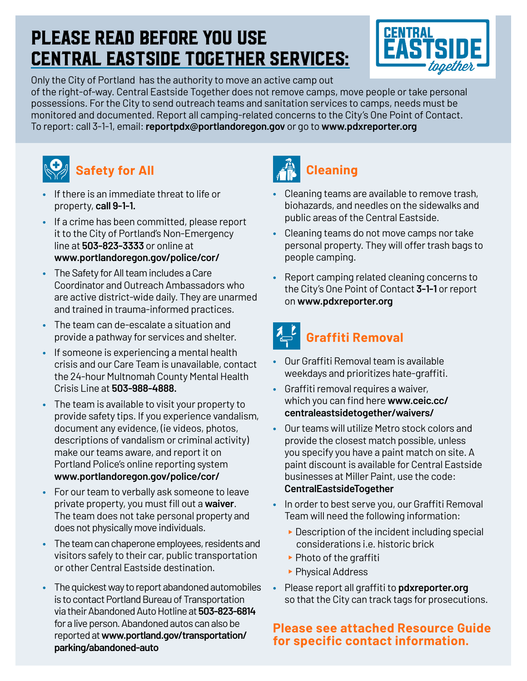#### Please read before you use Central Eastside Together services:



Only the City of Portland has the authority to move an active camp out of the right-of-way. Central Eastside Together does not remove camps, move people or take personal possessions. For the City to send outreach teams and sanitation services to camps, needs must be monitored and documented. Report all camping-related concerns to the City's One Point of Contact. To report: call 3-1-1, email: **[reportpdx@portlandoregon.gov](mailto:reportpdx@portlandoregon.gov)** or go to **[www.pdxreporter.org](http://www.pdxreporter.org)**



#### **Safety for All**

- **•** If there is an immediate threat to life or property, **call 9-1-1.**
- **•** If a crime has been committed, please report it to the City of Portland's Non-Emergency line at **503-823-3333** or online at **[www.portlandoregon.gov/police/cor/](http://www.portlandoregon.gov/police/cor/)**
- **•** The Safety for All team includes a Care Coordinator and Outreach Ambassadors who are active district-wide daily. They are unarmed and trained in trauma-informed practices.
- **•** The team can de-escalate a situation and provide a pathway for services and shelter.
- **•** If someone is experiencing a mental health crisis and our Care Team is unavailable, contact the 24-hour Multnomah County Mental Health Crisis Line at **503-988-4888.**
- **•** The team is available to visit your property to provide safety tips. If you experience vandalism, document any evidence, (ie videos, photos, descriptions of vandalism or criminal activity) make our teams aware, and report it on Portland Police's online reporting system **[www.portlandoregon.gov/police/cor/](http://www.portlandoregon.gov/police/cor/)**
- **•** For our team to verbally ask someone to leave private property, you must fill out a **[waiver](https://ceic.cc/centraleastsidetogether/waivers/)**. The team does not take personal property and does not physically move individuals.
- **•** The team can chaperone employees, residents and visitors safely to their car, public transportation or other Central Eastside destination.
- **•** The quickest way to report abandoned automobiles is to contact Portland Bureau of Transportation via their Abandoned Auto Hotline at **503-823-6814** for a live person. Abandoned autos can also be reported at **[www.portland.gov/transportation/](http://www.portland.gov/transportation/parking/abandoned-auto) [parking/abandoned-auto](http://www.portland.gov/transportation/parking/abandoned-auto)**



- **•** Cleaning teams are available to remove trash, biohazards, and needles on the sidewalks and public areas of the Central Eastside.
- **•** Cleaning teams do not move camps nor take personal property. They will offer trash bags to people camping.
- **•** Report camping related cleaning concerns to the City's One Point of Contact **3-1-1** or report on **[www.pdxreporter.org](http://www.pdxreporter.org)**

## **Graffiti Removal**

- **•** Our Graffiti Removal team is available weekdays and prioritizes hate-graffiti.
- **•** Graffiti removal requires a waiver, which you can find here **[www.ceic.cc/](http://ceic.cc/centraleastsidetogether/waivers/) [centraleastsidetogether/waivers/](http://ceic.cc/centraleastsidetogether/waivers/)**
- **•** Our teams will utilize Metro stock colors and provide the closest match possible, unless you specify you have a paint match on site. A paint discount is available for Central Eastside businesses at Miller Paint, use the code: **CentralEastsideTogether**
- **•** In order to best serve you, our Graffiti Removal Team will need the following information:
	- $\triangleright$  Description of the incident including special considerations i.e. historic brick
	- $\blacktriangleright$  Photo of the graffiti
	- ▶ Physical Address
- **•** Please report all graffiti to **[pdxreporter.org](http://pdxreporter.org)** so that the City can track tags for prosecutions.

#### **Please see attached Resource Guide for specific contact information.**